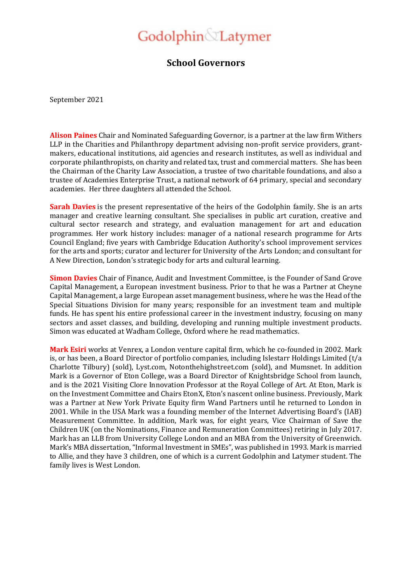## Godolphin Latymer

## **School Governors**

September 2021

**Alison Paines** Chair and Nominated Safeguarding Governor, is a partner at the law firm Withers LLP in the Charities and Philanthropy department advising non-profit service providers, grantmakers, educational institutions, aid agencies and research institutes, as well as individual and corporate philanthropists, on charity and related tax, trust and commercial matters. She has been the Chairman of the Charity Law Association, a trustee of two charitable foundations, and also a trustee of Academies Enterprise Trust, a national network of 64 primary, special and secondary academies. Her three daughters all attended the School.

**Sarah Davies** is the present representative of the heirs of the Godolphin family. She is an arts manager and creative learning consultant. She specialises in public art curation, creative and cultural sector research and strategy, and evaluation management for art and education programmes. Her work history includes: manager of a national research programme for Arts Council England; five years with Cambridge Education Authority's school improvement services for the arts and sports; curator and lecturer for University of the Arts London; and consultant for A New Direction, London's strategic body for arts and cultural learning.

**Simon Davies** Chair of Finance, Audit and Investment Committee, is the Founder of Sand Grove Capital Management, a European investment business. Prior to that he was a Partner at Cheyne Capital Management, a large European asset management business, where he was the Head of the Special Situations Division for many years; responsible for an investment team and multiple funds. He has spent his entire professional career in the investment industry, focusing on many sectors and asset classes, and building, developing and running multiple investment products. Simon was educated at Wadham College, Oxford where he read mathematics.

**Mark Esiri** works at Venrex, a London venture capital firm, which he co-founded in 2002. Mark is, or has been, a Board Director of portfolio companies, including Islestarr Holdings Limited (t/a Charlotte Tilbury) (sold), Lyst.com, Notonthehighstreet.com (sold), and Mumsnet. In addition Mark is a Governor of Eton College, was a Board Director of Knightsbridge School from launch, and is the 2021 Visiting Clore Innovation Professor at the Royal College of Art. At Eton, Mark is on the Investment Committee and Chairs EtonX, Eton's nascent online business. Previously, Mark was a Partner at New York Private Equity firm Wand Partners until he returned to London in 2001. While in the USA Mark was a founding member of the Internet Advertising Board's (IAB) Measurement Committee. In addition, Mark was, for eight years, Vice Chairman of Save the Children UK (on the Nominations, Finance and Remuneration Committees) retiring in July 2017. Mark has an LLB from University College London and an MBA from the University of Greenwich. Mark's MBA dissertation, "Informal Investment in SMEs", was published in 1993. Mark is married to Allie, and they have 3 children, one of which is a current Godolphin and Latymer student. The family lives is West London.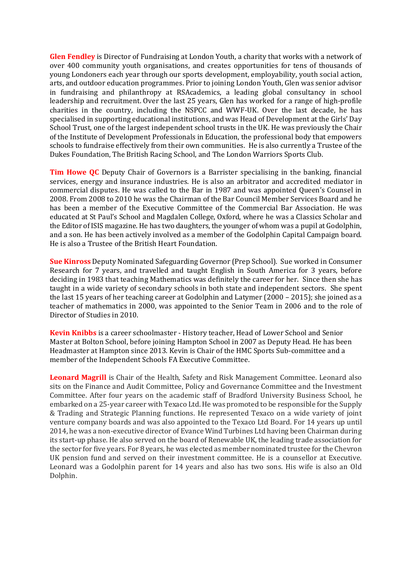**Glen Fendley** is Director of Fundraising at London Youth, a charity that works with a network of over 400 community youth organisations, and creates opportunities for tens of thousands of young Londoners each year through our sports development, employability, youth social action, arts, and outdoor education programmes. Prior to joining London Youth, Glen was senior advisor in fundraising and philanthropy at RSAcademics, a leading global consultancy in school leadership and recruitment. Over the last 25 years, Glen has worked for a range of high-profile charities in the country, including the NSPCC and WWF-UK. Over the last decade, he has specialised in supporting educational institutions, and was Head of Development at the Girls' Day School Trust, one of the largest independent school trusts in the UK. He was previously the Chair of the Institute of Development Professionals in Education, the professional body that empowers schools to fundraise effectively from their own communities. He is also currently a Trustee of the Dukes Foundation, The British Racing School, and The London Warriors Sports Club.

**Tim Howe QC** Deputy Chair of Governors is a Barrister specialising in the banking, financial services, energy and insurance industries. He is also an arbitrator and accredited mediator in commercial disputes. He was called to the Bar in 1987 and was appointed Queen's Counsel in 2008. From 2008 to 2010 he was the Chairman of the Bar Council Member Services Board and he has been a member of the Executive Committee of the Commercial Bar Association. He was educated at St Paul's School and Magdalen College, Oxford, where he was a Classics Scholar and the Editor of ISIS magazine. He has two daughters, the younger of whom was a pupil at Godolphin, and a son. He has been actively involved as a member of the Godolphin Capital Campaign board. He is also a Trustee of the British Heart Foundation.

**Sue Kinross** Deputy Nominated Safeguarding Governor (Prep School). Sue worked in Consumer Research for 7 years, and travelled and taught English in South America for 3 years, before deciding in 1983 that teaching Mathematics was definitely the career for her. Since then she has taught in a wide variety of secondary schools in both state and independent sectors. She spent the last 15 years of her teaching career at Godolphin and Latymer (2000 – 2015); she joined as a teacher of mathematics in 2000, was appointed to the Senior Team in 2006 and to the role of Director of Studies in 2010.

**Kevin Knibbs** is a career schoolmaster - History teacher, Head of Lower School and Senior Master at Bolton School, before joining Hampton School in 2007 as Deputy Head. He has been Headmaster at Hampton since 2013. Kevin is Chair of the HMC Sports Sub-committee and a member of the Independent Schools FA Executive Committee.

**Leonard Magrill** is Chair of the Health, Safety and Risk Management Committee. Leonard also sits on the Finance and Audit Committee, Policy and Governance Committee and the Investment Committee. After four years on the academic staff of Bradford University Business School, he embarked on a 25-year career with Texaco Ltd. He was promoted to be responsible for the Supply & Trading and Strategic Planning functions. He represented Texaco on a wide variety of joint venture company boards and was also appointed to the Texaco Ltd Board. For 14 years up until 2014, he was a non-executive director of Evance Wind Turbines Ltd having been Chairman during its start-up phase. He also served on the board of Renewable UK, the leading trade association for the sector for five years. For 8 years, he was elected as member nominated trustee for the Chevron UK pension fund and served on their investment committee. He is a counsellor at Executive. Leonard was a Godolphin parent for 14 years and also has two sons. His wife is also an Old Dolphin.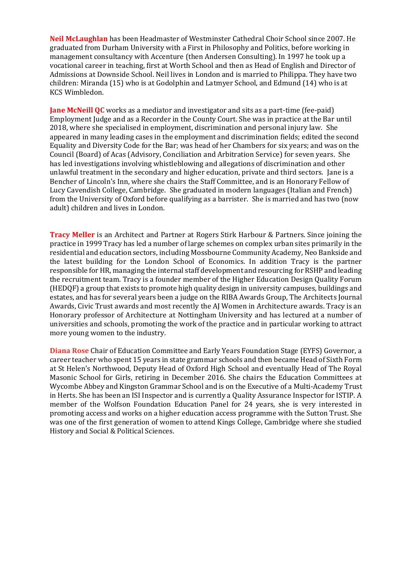**Neil McLaughlan** has been Headmaster of Westminster Cathedral Choir School since 2007. He graduated from Durham University with a First in Philosophy and Politics, before working in management consultancy with Accenture (then Andersen Consulting). In 1997 he took up a vocational career in teaching, first at Worth School and then as Head of English and Director of Admissions at Downside School. Neil lives in London and is married to Philippa. They have two children: Miranda (15) who is at Godolphin and Latmyer School, and Edmund (14) who is at KCS Wimbledon.

**Jane McNeill QC** works as a mediator and investigator and sits as a part-time (fee-paid) Employment Judge and as a Recorder in the County Court. She was in practice at the Bar until 2018, where she specialised in employment, discrimination and personal injury law. She appeared in many leading cases in the employment and discrimination fields; edited the second Equality and Diversity Code for the Bar; was head of her Chambers for six years; and was on the Council (Board) of Acas (Advisory, Conciliation and Arbitration Service) for seven years. She has led investigations involving whistleblowing and allegations of discrimination and other unlawful treatment in the secondary and higher education, private and third sectors. Jane is a Bencher of Lincoln's Inn, where she chairs the Staff Committee, and is an Honorary Fellow of Lucy Cavendish College, Cambridge. She graduated in modern languages (Italian and French) from the University of Oxford before qualifying as a barrister. She is married and has two (now adult) children and lives in London.

**Tracy Meller** is an Architect and Partner at Rogers Stirk Harbour & Partners. Since joining the practice in 1999 Tracy has led a number of large schemes on complex urban sites primarily in the residential and education sectors, including Mossbourne Community Academy, Neo Bankside and the latest building for the London School of Economics. In addition Tracy is the partner responsible for HR, managing the internal staff development and resourcing for RSHP and leading the recruitment team. Tracy is a founder member of the Higher Education Design Quality Forum (HEDQF) a group that exists to promote high quality design in university campuses, buildings and estates, and has for several years been a judge on the RIBA Awards Group, The Architects Journal Awards, Civic Trust awards and most recently the AJ Women in Architecture awards. Tracy is an Honorary professor of Architecture at Nottingham University and has lectured at a number of universities and schools, promoting the work of the practice and in particular working to attract more young women to the industry.

**Diana Rose** Chair of Education Committee and Early Years Foundation Stage (EYFS) Governor, a career teacher who spent 15 years in state grammar schools and then became Head of Sixth Form at St Helen's Northwood, Deputy Head of Oxford High School and eventually Head of The Royal Masonic School for Girls, retiring in December 2016. She chairs the Education Committees at Wycombe Abbey and Kingston Grammar School and is on the Executive of a Multi-Academy Trust in Herts. She has been an ISI Inspector and is currently a Quality Assurance Inspector for ISTIP. A member of the Wolfson Foundation Education Panel for 24 years, she is very interested in promoting access and works on a higher education access programme with the Sutton Trust. She was one of the first generation of women to attend Kings College, Cambridge where she studied History and Social & Political Sciences.